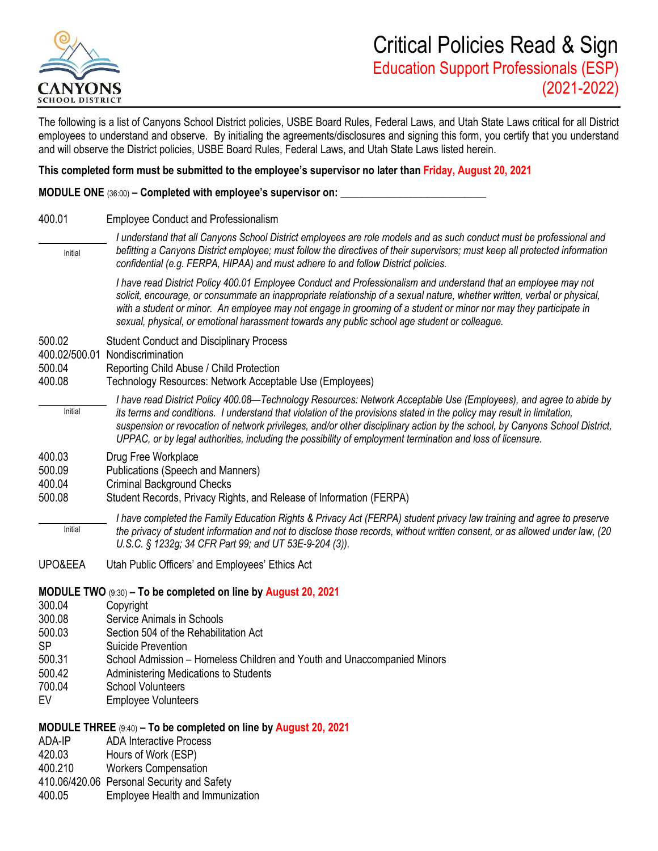

The following is a list of Canyons School District policies, USBE Board Rules, Federal Laws, and Utah State Laws critical for all District employees to understand and observe. By initialing the agreements/disclosures and signing this form, you certify that you understand and will observe the District policies, USBE Board Rules, Federal Laws, and Utah State Laws listed herein.

## **This completed form must be submitted to the employee's supervisor no later than Friday, August 20, 2021**

**MODULE ONE** (36:00) – **Completed with employee's supervisor on:** 

400.01 Employee Conduct and Professionalism

*I understand that all Canyons School District employees are role models and as such conduct must be professional and befitting a Canyons District employee; must follow the directives of their supervisors; must keep all protected information confidential (e.g. FERPA, HIPAA) and must adhere to and follow District policies.*  Initial

*I have read District Policy 400.01 Employee Conduct and Professionalism and understand that an employee may not solicit, encourage, or consummate an inappropriate relationship of a sexual nature, whether written, verbal or physical, with a student or minor. An employee may not engage in grooming of a student or minor nor may they participate in sexual, physical, or emotional harassment towards any public school age student or colleague.*

- 500.02 Student Conduct and Disciplinary Process
- 400.02/500.01 Nondiscrimination
- 500.04 Reporting Child Abuse / Child Protection
- 400.08 Technology Resources: Network Acceptable Use (Employees)
- *I have read District Policy 400.08—Technology Resources: Network Acceptable Use (Employees), and agree to abide by its terms and conditions. I understand that violation of the provisions stated in the policy may result in limitation, suspension or revocation of network privileges, and/or other disciplinary action by the school, by Canyons School District, UPPAC, or by legal authorities, including the possibility of employment termination and loss of licensure.* Initial
- 400.03 Drug Free Workplace
- 500.09 Publications (Speech and Manners)
- 400.04 Criminal Background Checks
- 500.08 Student Records, Privacy Rights, and Release of Information (FERPA)
	- *I have completed the Family Education Rights & Privacy Act (FERPA) student privacy law training and agree to preserve the privacy of student information and not to disclose those records, without written consent, or as allowed under law, (20 U.S.C. § 1232g; 34 CFR Part 99; and UT 53E-9-204 (3)).* Initial
- UPO&EEA Utah Public Officers' and Employees' Ethics Act
- **MODULE TWO** (9:30) **– To be completed on line by August 20, 2021**
- 300.04 Copyright
- 300.08 Service Animals in Schools
- 500.03 Section 504 of the Rehabilitation Act
- SP Suicide Prevention
- 500.31 School Admission Homeless Children and Youth and Unaccompanied Minors
- 500.42 Administering Medications to Students
- 700.04 School Volunteers
- EV Employee Volunteers

## **MODULE THREE** (9:40) **– To be completed on line by August 20, 2021**

- ADA-IP ADA Interactive Process
- 420.03 Hours of Work (ESP)
- 400.210 Workers Compensation
- 410.06/420.06 Personal Security and Safety
- 400.05 Employee Health and Immunization